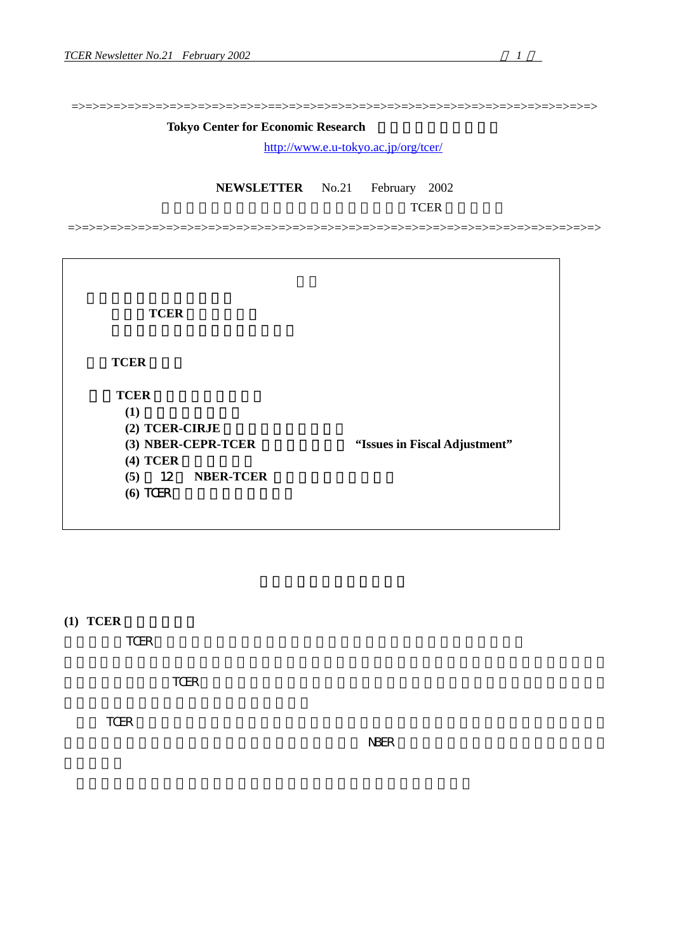=>=>=>=>=>=>=>=>=>=>=>=>=>=>==>=>=>=>=>=>=>=>=>=>=>=>=>=>=>=>=>=>=>=>=>=>=>

#### **Tokyo Center for Economic Research**

<http://www.e.u-tokyo.ac.jp/org/tcer/>

**NEWSLETTER** No.21 February 2002

 $TCER$ 

=>=>=>=>=>=>=>=>=>=>=>=>=>=>=>=>=>=>=>=>=>=>=>=>=>=>=>=>=>=>=>=>=>=>=>=>=>=>

(1)**TCER** の現状と課題

2.**TCER** 研究会

3.**TCER** コンファレンス報告  $(1)$ (2) TCER-CIRJE **(4) TCER (5) 12 NBER-TCER (6)** TCER ミクロコンファレンス

(3) NBER-CEPR-TCER 
<sup>4</sup>Issues in Fiscal Adjustment"

**(1) TCER** 

今年度は、TCER セミナーが順調なこともあり財政的には一息ついた感があります。

TCER the state of the state of the state of the state of the state of the state of the state of the state of the state of the state of the state of the state of the state of the state of the state of the state of the state

TCER the state of the state  $\mathbb{R}$ 

 $N<sub>BER</sub>$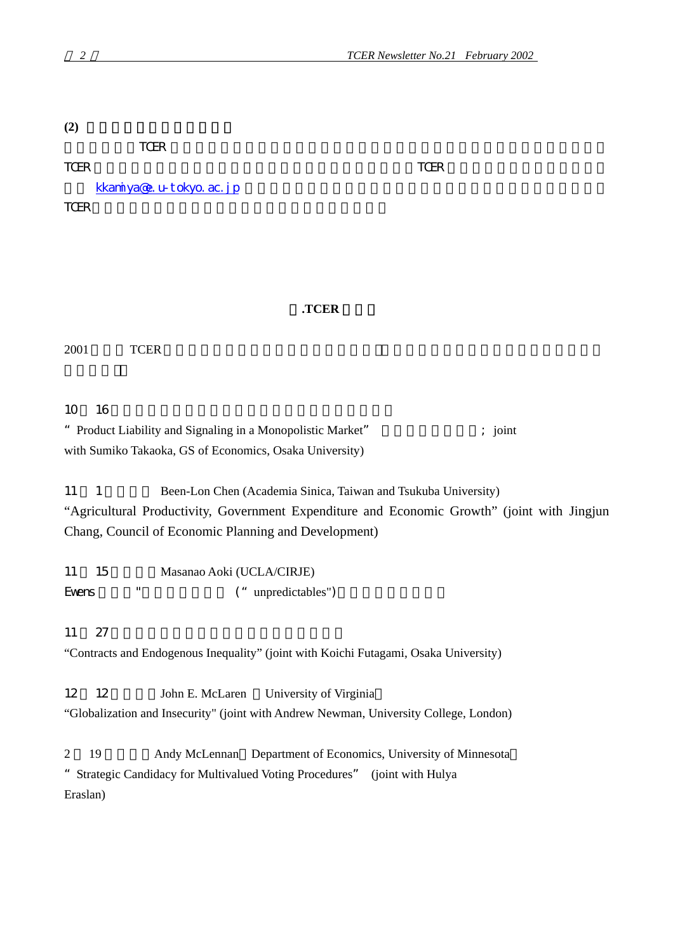**(2)** メーリングリストについて

**TCER** くちらん しょうしょうしょく エストを理解してきるようにしましたしました

TCER  $TCER$ 

[kkamiya@e.u-tokyo.ac.jp](mailto:kkamiya@e.u-tokyo.ac.jp) TCER <sub>and the</sub>

## 2**.TCER** 研究会

2001 TCER TCER

10 16 16

" Product Liability and Signaling in a Monopolistic Market" ; joint with Sumiko Takaoka, GS of Economics, Osaka University)

11 1 Been-Lon Chen (Academia Sinica, Taiwan and Tsukuba University)

"Agricultural Productivity, Government Expenditure and Economic Growth" (joint with Jingjun Chang, Council of Economic Planning and Development)

11 15 Masanao Aoki (UCLA/CIRJE) Evens "
("unpredictables")

 $11 \t27$ 

"Contracts and Endogenous Inequality" (joint with Koichi Futagami, Osaka University)

12 12 John E. McLaren University of Virginia

"Globalization and Insecurity" (joint with Andrew Newman, University College, London)

2 19 Andy McLennan Department of Economics, University of Minnesota "Strategic Candidacy for Multivalued Voting Procedures" (joint with Hulya Eraslan)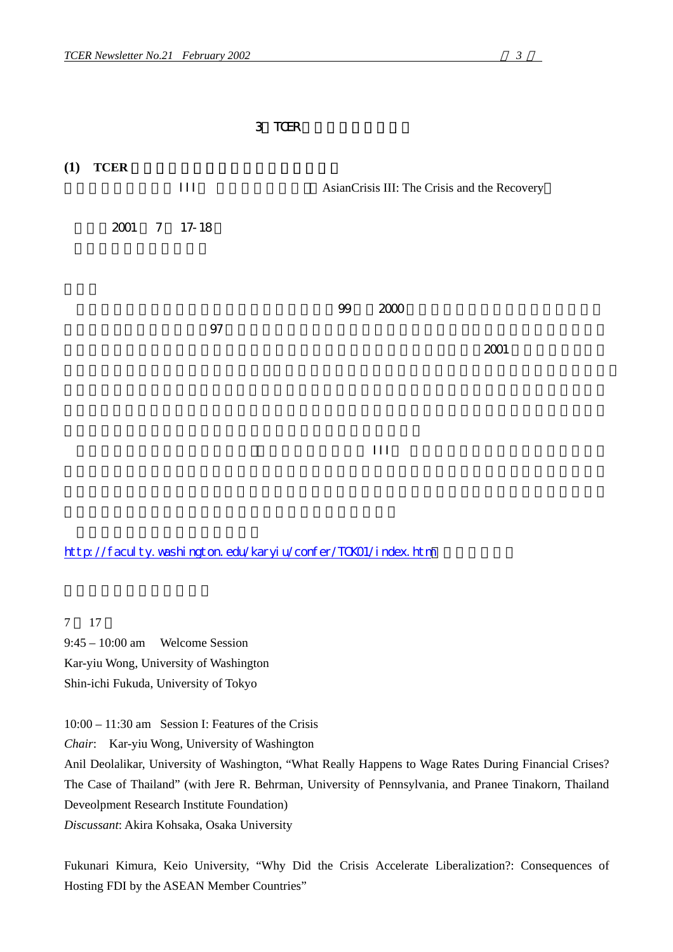### 3 TCER



<http://faculty.washington.edu/karyiu/confer/TOK01/index.htm>

7 17

9:45 – 10:00 am Welcome Session Kar-yiu Wong, University of Washington Shin-ichi Fukuda, University of Tokyo

10:00 – 11:30 am Session I: Features of the Crisis

*Chair*: Kar-yiu Wong, University of Washington

Anil Deolalikar, University of Washington, "What Really Happens to Wage Rates During Financial Crises? The Case of Thailand" (with Jere R. Behrman, University of Pennsylvania, and Pranee Tinakorn, Thailand Deveolpment Research Institute Foundation)

*Discussant*: Akira Kohsaka, Osaka University

Fukunari Kimura, Keio University, "Why Did the Crisis Accelerate Liberalization?: Consequences of Hosting FDI by the ASEAN Member Countries"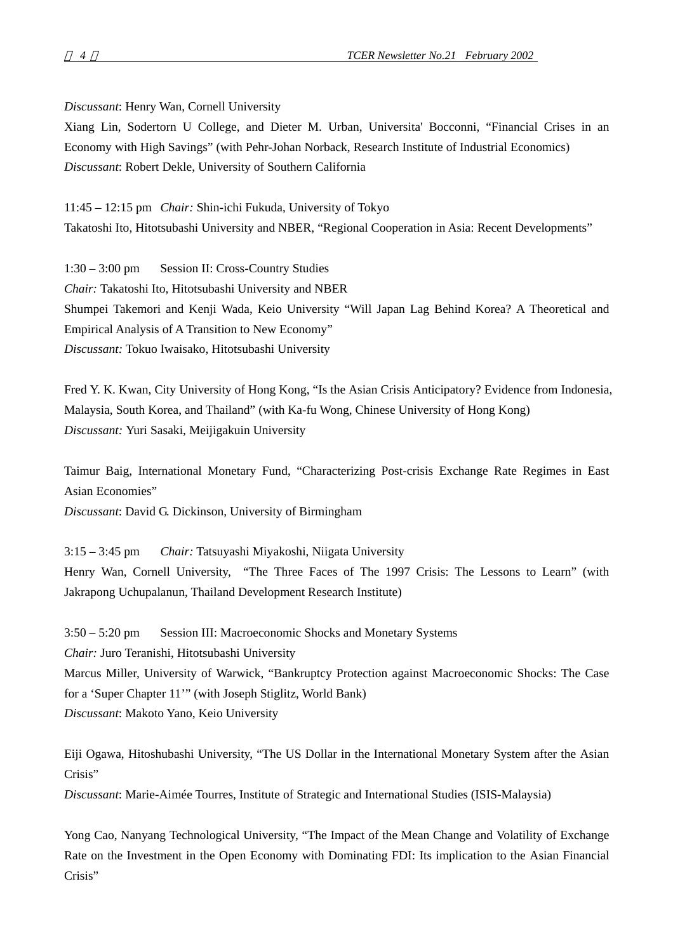*Discussant*: Henry Wan, Cornell University

Xiang Lin, Sodertorn U College, and Dieter M. Urban, Universita' Bocconni, "Financial Crises in an Economy with High Savings" (with Pehr-Johan Norback, Research Institute of Industrial Economics) *Discussant*: Robert Dekle, University of Southern California

11:45 – 12:15 pm *Chair:* Shin-ichi Fukuda, University of Tokyo Takatoshi Ito, Hitotsubashi University and NBER, "Regional Cooperation in Asia: Recent Developments"

1:30 – 3:00 pm Session II: Cross-Country Studies *Chair:* Takatoshi Ito, Hitotsubashi University and NBER Shumpei Takemori and Kenji Wada, Keio University "Will Japan Lag Behind Korea? A Theoretical and Empirical Analysis of A Transition to New Economy" *Discussant:* Tokuo Iwaisako, Hitotsubashi University

Fred Y. K. Kwan, City University of Hong Kong, "Is the Asian Crisis Anticipatory? Evidence from Indonesia, Malaysia, South Korea, and Thailand" (with Ka-fu Wong, Chinese University of Hong Kong) *Discussant:* Yuri Sasaki, Meijigakuin University

Taimur Baig, International Monetary Fund, "Characterizing Post-crisis Exchange Rate Regimes in East Asian Economies"

*Discussant*: David G. Dickinson, University of Birmingham

3:15 – 3:45 pm *Chair:* Tatsuyashi Miyakoshi, Niigata University Henry Wan, Cornell University, "The Three Faces of The 1997 Crisis: The Lessons to Learn" (with Jakrapong Uchupalanun, Thailand Development Research Institute)

3:50 – 5:20 pm Session III: Macroeconomic Shocks and Monetary Systems *Chair:* Juro Teranishi, Hitotsubashi University Marcus Miller, University of Warwick, "Bankruptcy Protection against Macroeconomic Shocks: The Case for a 'Super Chapter 11'" (with Joseph Stiglitz, World Bank) *Discussant*: Makoto Yano, Keio University

Eiji Ogawa, Hitoshubashi University, "The US Dollar in the International Monetary System after the Asian Crisis"

*Discussant*: Marie-Aimée Tourres, Institute of Strategic and International Studies (ISIS-Malaysia)

Yong Cao, Nanyang Technological University, "The Impact of the Mean Change and Volatility of Exchange Rate on the Investment in the Open Economy with Dominating FDI: Its implication to the Asian Financial Crisis"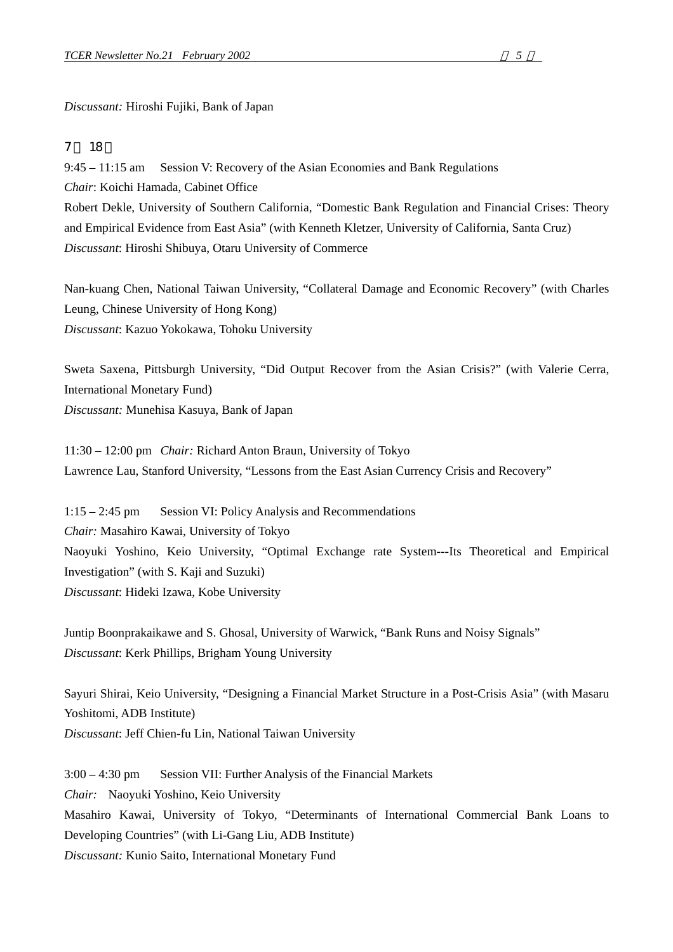*Discussant:* Hiroshi Fujiki, Bank of Japan

## 7 月 18 日

9:45 – 11:15 am Session V: Recovery of the Asian Economies and Bank Regulations *Chair*: Koichi Hamada, Cabinet Office Robert Dekle, University of Southern California, "Domestic Bank Regulation and Financial Crises: Theory and Empirical Evidence from East Asia" (with Kenneth Kletzer, University of California, Santa Cruz) *Discussant*: Hiroshi Shibuya, Otaru University of Commerce

Nan-kuang Chen, National Taiwan University, "Collateral Damage and Economic Recovery" (with Charles Leung, Chinese University of Hong Kong) *Discussant*: Kazuo Yokokawa, Tohoku University

Sweta Saxena, Pittsburgh University, "Did Output Recover from the Asian Crisis?" (with Valerie Cerra, International Monetary Fund) *Discussant:* Munehisa Kasuya, Bank of Japan

11:30 – 12:00 pm *Chair:* Richard Anton Braun, University of Tokyo Lawrence Lau, Stanford University, "Lessons from the East Asian Currency Crisis and Recovery"

1:15 – 2:45 pm Session VI: Policy Analysis and Recommendations *Chair:* Masahiro Kawai, University of Tokyo Naoyuki Yoshino, Keio University, "Optimal Exchange rate System---Its Theoretical and Empirical Investigation" (with S. Kaji and Suzuki) *Discussant*: Hideki Izawa, Kobe University

Juntip Boonprakaikawe and S. Ghosal, University of Warwick, "Bank Runs and Noisy Signals" *Discussant*: Kerk Phillips, Brigham Young University

Sayuri Shirai, Keio University, "Designing a Financial Market Structure in a Post-Crisis Asia" (with Masaru Yoshitomi, ADB Institute) *Discussant*: Jeff Chien-fu Lin, National Taiwan University

3:00 – 4:30 pm Session VII: Further Analysis of the Financial Markets *Chair:* Naoyuki Yoshino, Keio University Masahiro Kawai, University of Tokyo, "Determinants of International Commercial Bank Loans to Developing Countries" (with Li-Gang Liu, ADB Institute) *Discussant:* Kunio Saito, International Monetary Fund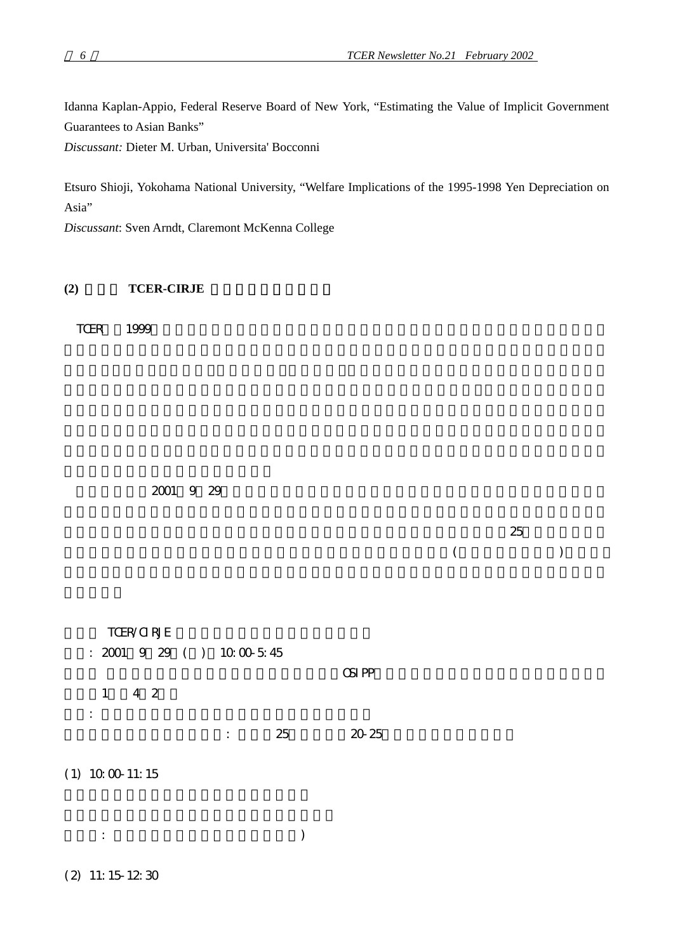Idanna Kaplan-Appio, Federal Reserve Board of New York, "Estimating the Value of Implicit Government Guarantees to Asian Banks"

*Discussant:* Dieter M. Urban, Universita' Bocconni

Etsuro Shioji, Yokohama National University, "Welfare Implications of the 1995-1998 Yen Depreciation on Asia"

*Discussant*: Sven Arndt, Claremont McKenna College

## (2) **TCER-CIRJE**

TCER 1999

2001 9 29

|  | ~~ |
|--|----|

 $($ 

| $\mathbf{1}$           | TCER/CIRJE<br>$: 2001 \t9 \t29 \t() 10 \t00 \t5 \t45$<br>4 2 |                |    | <b>CSIPP</b> |  |  |
|------------------------|--------------------------------------------------------------|----------------|----|--------------|--|--|
| $\bullet$<br>$\bullet$ |                                                              | $\ddot{\cdot}$ | 25 | 20 25        |  |  |
| $(1)$ 10 00 11:15      |                                                              |                |    |              |  |  |

 $\vdots$   $\vdots$   $\vdots$   $\vdots$   $\vdots$   $\vdots$   $\vdots$   $\vdots$   $\vdots$   $\vdots$   $\vdots$   $\vdots$   $\vdots$   $\vdots$   $\vdots$   $\vdots$   $\vdots$   $\vdots$   $\vdots$   $\vdots$   $\vdots$   $\vdots$   $\vdots$   $\vdots$   $\vdots$   $\vdots$   $\vdots$   $\vdots$   $\vdots$   $\vdots$   $\vdots$   $\vdots$   $\vdots$   $\vdots$   $\vdots$   $\vdots$   $\vdots$ 

(2) 11:15-12:30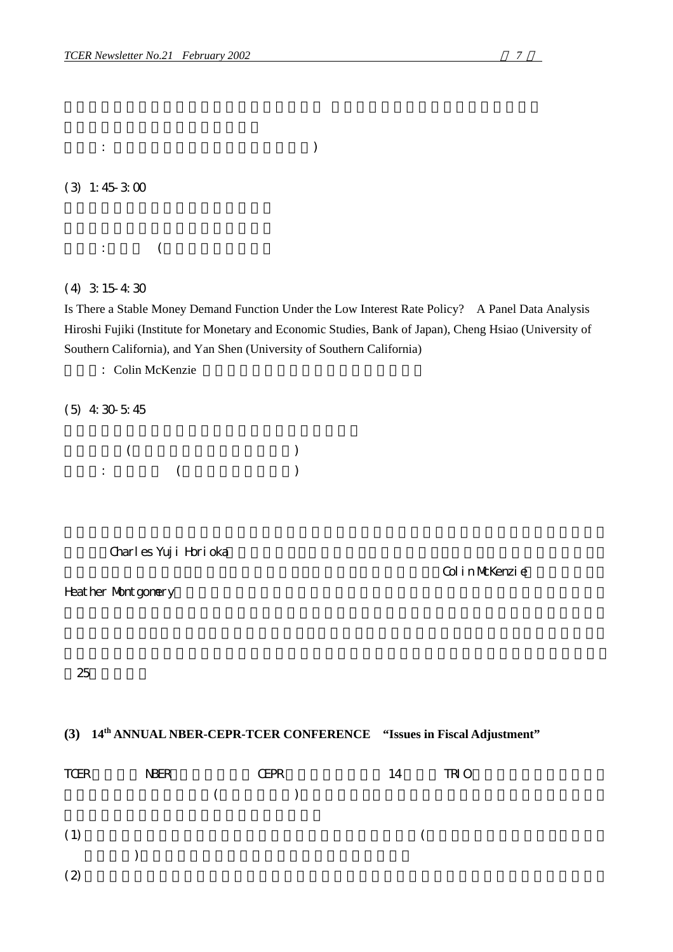$\vdots$  (expecting  $\vdots$  )

(3) 1:45-3:00

 $\vdots$  (

(4) 3:15-4:30

Is There a Stable Money Demand Function Under the Low Interest Rate Policy? A Panel Data Analysis Hiroshi Fujiki (Institute for Monetary and Economic Studies, Bank of Japan), Cheng Hsiao (University of Southern California), and Yan Shen (University of Southern California)

: Colin McKenzie

(5) 4:30-5:45

 $($  $\vdots$  (and  $\vdots$  )

Charles Yuji Horioka

Colin McKenzie

Heather Montgomery

25

## **(3) 14th ANNUAL NBER-CEPR-TCER CONFERENCE "Issues in Fiscal Adjustment"**

| TCER | <b>NBER</b> | <b>CEPR</b> | 14 | <b>TRIO</b> |  |
|------|-------------|-------------|----|-------------|--|
|      |             | $($ )       |    |             |  |
|      |             |             |    |             |  |
| (1)  |             |             |    |             |  |
|      |             |             |    |             |  |
| (2)  |             |             |    |             |  |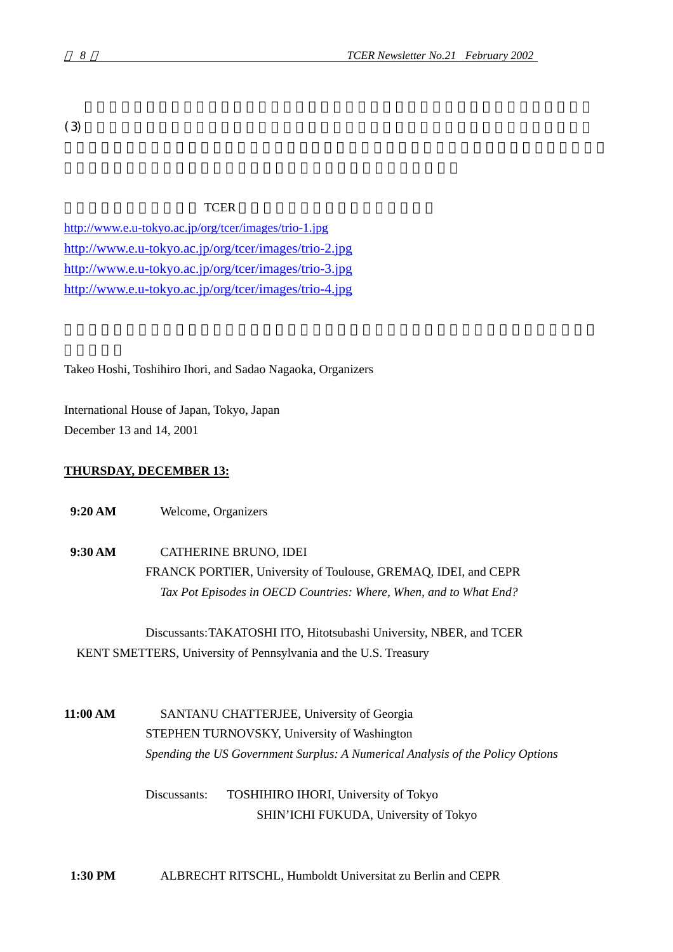$(3)$ 

#### **TCER** TCER

<http://www.e.u-tokyo.ac.jp/org/tcer/images/trio-1.jpg> <http://www.e.u-tokyo.ac.jp/org/tcer/images/trio-2.jpg> <http://www.e.u-tokyo.ac.jp/org/tcer/images/trio-3.jpg> <http://www.e.u-tokyo.ac.jp/org/tcer/images/trio-4.jpg>

Takeo Hoshi, Toshihiro Ihori, and Sadao Nagaoka, Organizers

International House of Japan, Tokyo, Japan December 13 and 14, 2001

#### **THURSDAY, DECEMBER 13:**

 **9:20 AM** Welcome, Organizers

**9:30 AM** CATHERINE BRUNO, IDEI FRANCK PORTIER, University of Toulouse, GREMAQ, IDEI, and CEPR *Tax Pot Episodes in OECD Countries: Where, When, and to What End?*

Discussants: TAKATOSHI ITO, Hitotsubashi University, NBER, and TCER KENT SMETTERS, University of Pennsylvania and the U.S. Treasury

**11:00 AM** SANTANU CHATTERJEE, University of Georgia STEPHEN TURNOVSKY, University of Washington *Spending the US Government Surplus: A Numerical Analysis of the Policy Options*

> Discussants: TOSHIHIRO IHORI, University of Tokyo SHIN'ICHI FUKUDA, University of Tokyo

 **1:30 PM** ALBRECHT RITSCHL, Humboldt Universitat zu Berlin and CEPR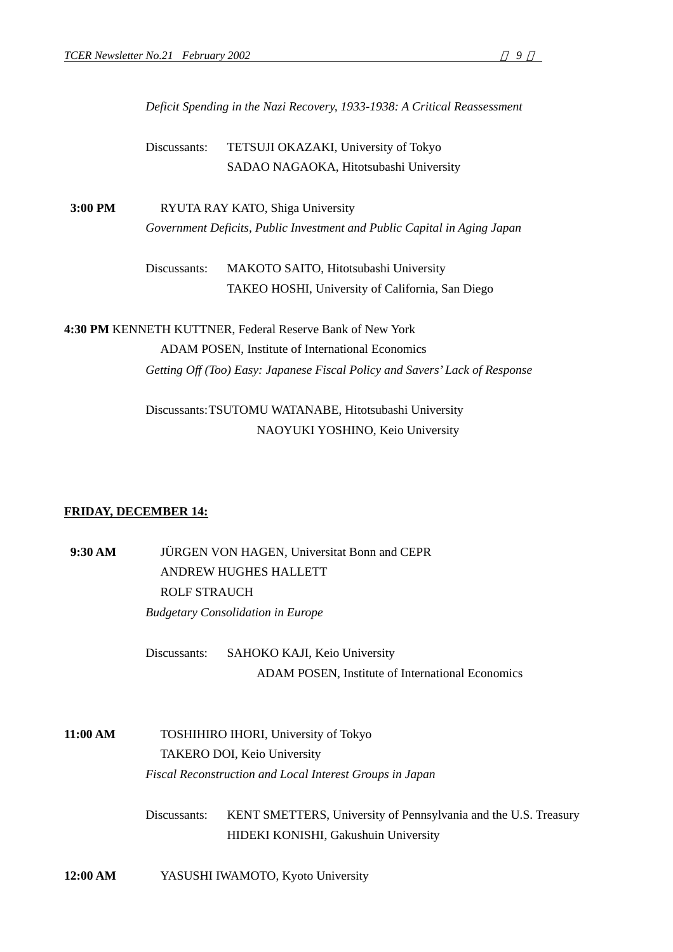*Deficit Spending in the Nazi Recovery, 1933-1938: A Critical Reassessment* 

Discussants: TETSUJI OKAZAKI, University of Tokyo SADAO NAGAOKA, Hitotsubashi University

**3:00 PM** RYUTA RAY KATO, Shiga University *Government Deficits, Public Investment and Public Capital in Aging Japan*

> Discussants: MAKOTO SAITO, Hitotsubashi University TAKEO HOSHI, University of California, San Diego

**4:30 PM** KENNETH KUTTNER, Federal Reserve Bank of New York ADAM POSEN, Institute of International Economics *Getting Off (Too) Easy: Japanese Fiscal Policy and Savers' Lack of Response* 

> Discussants: TSUTOMU WATANABE, Hitotsubashi University NAOYUKI YOSHINO, Keio University

#### **FRIDAY, DECEMBER 14:**

 **9:30 AM** JÜRGEN VON HAGEN, Universitat Bonn and CEPR ANDREW HUGHES HALLETT ROLF STRAUCH *Budgetary Consolidation in Europe*

> Discussants: SAHOKO KAJI, Keio University ADAM POSEN, Institute of International Economics

**11:00 AM** TOSHIHIRO IHORI, University of Tokyo TAKERO DOI, Keio University *Fiscal Reconstruction and Local Interest Groups in Japan* 

> Discussants: KENT SMETTERS, University of Pennsylvania and the U.S. Treasury HIDEKI KONISHI, Gakushuin University

**12:00 AM** YASUSHI IWAMOTO, Kyoto University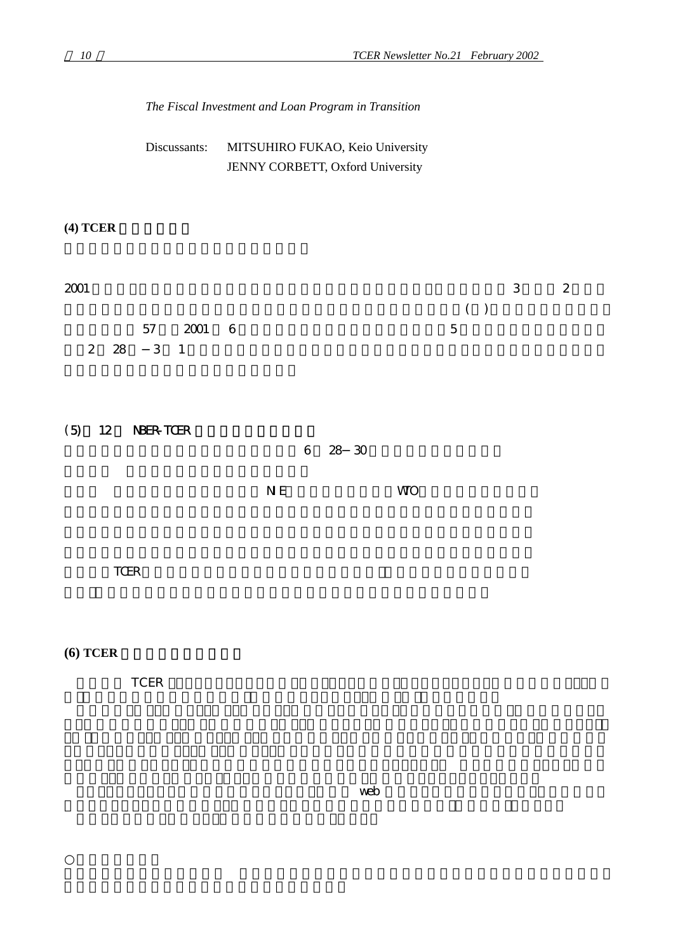|                            | Discussants:                                         | MITSUHIRO FUKAO, Keio University<br>JENNY CORBETT, Oxford University |                    |                        |                                               |  |
|----------------------------|------------------------------------------------------|----------------------------------------------------------------------|--------------------|------------------------|-----------------------------------------------|--|
| (4) <b>TCER</b>            |                                                      |                                                                      |                    |                        |                                               |  |
| $2001\,$<br>2<br>(5)<br>12 | 2001<br>57<br>$28\quad 3\quad 1$<br><b>NBER-TOER</b> | - 6                                                                  |                    | $($ $)$<br>$\mathbf 5$ | $\boldsymbol{2}$<br>$\ensuremath{\mathsf{3}}$ |  |
| TCER                       |                                                      | $\,6\,$<br>$N\,E$                                                    | 28 30<br><b>WO</b> |                        |                                               |  |
| $(6)$ TCER                 | $\ensuremath{\mathsf{TCER}}$                         |                                                                      |                    |                        |                                               |  |

*The Fiscal Investment and Loan Program in Transition* 

 $\mathsf{web}$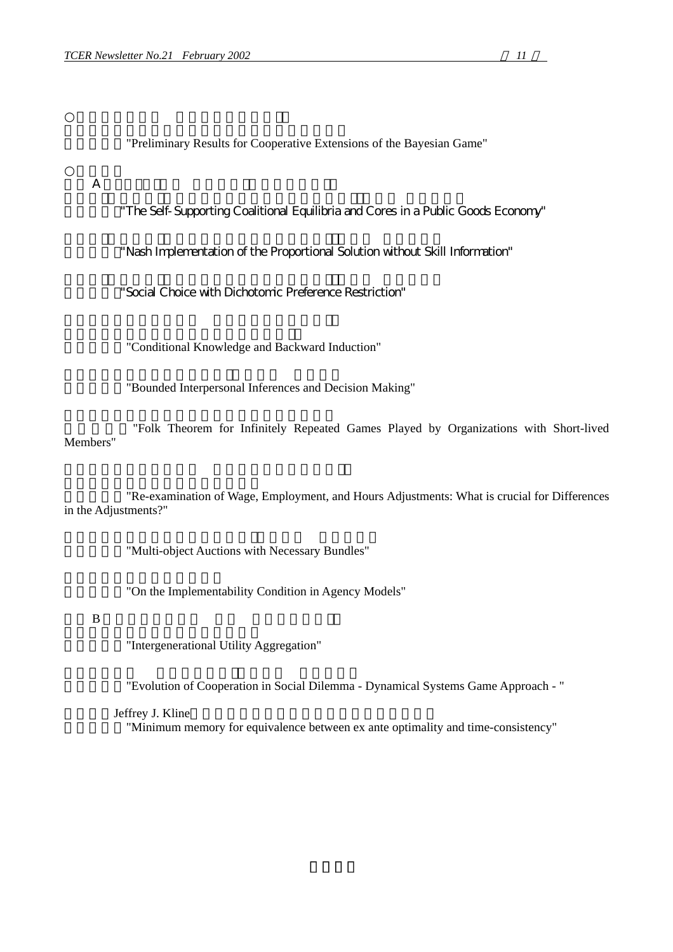"Preliminary Results for Cooperative Extensions of the Bayesian Game"

 $A$ 

"The Self-Supporting Coalitional Equilibria and Cores in a Public Goods Economy"

"Nash Implementation of the Proportional Solution without Skill Information"

"Social Choice with Dichotomic Preference Restriction"

"Conditional Knowledge and Backward Induction"

"Bounded Interpersonal Inferences and Decision Making"

"Folk Theorem for Infinitely Repeated Games Played by Organizations with Short-lived Members"

"Re-examination of Wage, Employment, and Hours Adjustments: What is crucial for Differences in the Adjustments?"

"Multi-object Auctions with Necessary Bundles"

"On the Implementability Condition in Agency Models"

#### $\overline{B}$

"Intergenerational Utility Aggregation"

"Evolution of Cooperation in Social Dilemma - Dynamical Systems Game Approach - "

#### Jeffrey J. Kline

"Minimum memory for equivalence between ex ante optimality and time-consistency"